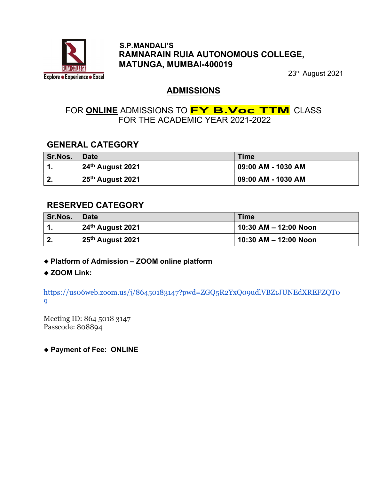

#### S.P.MANDALI'S RAMNARAIN RUIA AUTONOMOUS COLLEGE, MATUNGA, MUMBAI-400019

23rd August 2021

### ADMISSIONS

## FOR ONLINE ADMISSIONS TO **FY B.Voc TTM** CLASS FOR THE ACADEMIC YEAR 2021-2022

## GENERAL CATEGORY

| <b>Sr.Nos.</b> | <b>Date</b>                  | <b>Time</b>        |
|----------------|------------------------------|--------------------|
|                | 24 <sup>th</sup> August 2021 | 09:00 AM - 1030 AM |
| $\mathbf{2}$   | 25th August 2021             | 09:00 AM - 1030 AM |

### RESERVED CATEGORY

| <b>Sr.Nos.</b> | <b>Date</b>      | <b>Time</b>           |
|----------------|------------------|-----------------------|
|                | 24th August 2021 | 10:30 AM - 12:00 Noon |
| Ζ.             | 25th August 2021 | 10:30 AM – 12:00 Noon |

Platform of Admission – ZOOM online platform

#### ◆ ZOOM Link:

https://us06web.zoom.us/j/86450183147?pwd=ZGQ5R2YxQ09udlVBZ1JUNEdXREFZQT0 9

Meeting ID: 864 5018 3147 Passcode: 808894

◆ Payment of Fee: ONLINE